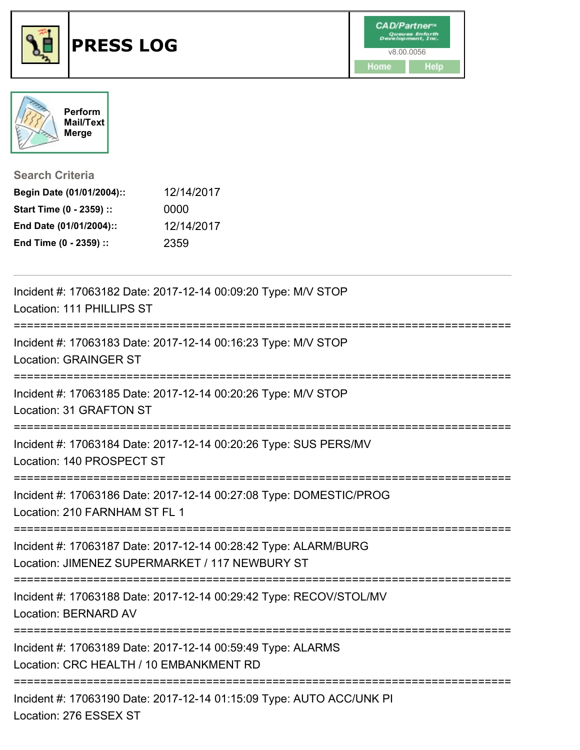



| <b>Search Criteria</b>    |            |
|---------------------------|------------|
| Begin Date (01/01/2004):: | 12/14/2017 |
| Start Time (0 - 2359) ::  | 0000       |
| End Date (01/01/2004)::   | 12/14/2017 |
| End Time (0 - 2359) ::    | 2359       |

| Incident #: 17063182 Date: 2017-12-14 00:09:20 Type: M/V STOP<br>Location: 111 PHILLIPS ST                                       |
|----------------------------------------------------------------------------------------------------------------------------------|
| Incident #: 17063183 Date: 2017-12-14 00:16:23 Type: M/V STOP<br><b>Location: GRAINGER ST</b>                                    |
| ;===================================<br>Incident #: 17063185 Date: 2017-12-14 00:20:26 Type: M/V STOP<br>Location: 31 GRAFTON ST |
| Incident #: 17063184 Date: 2017-12-14 00:20:26 Type: SUS PERS/MV<br>Location: 140 PROSPECT ST                                    |
| Incident #: 17063186 Date: 2017-12-14 00:27:08 Type: DOMESTIC/PROG<br>Location: 210 FARNHAM ST FL 1                              |
| Incident #: 17063187 Date: 2017-12-14 00:28:42 Type: ALARM/BURG<br>Location: JIMENEZ SUPERMARKET / 117 NEWBURY ST                |
| Incident #: 17063188 Date: 2017-12-14 00:29:42 Type: RECOV/STOL/MV<br>Location: BERNARD AV                                       |
| Incident #: 17063189 Date: 2017-12-14 00:59:49 Type: ALARMS<br>Location: CRC HEALTH / 10 EMBANKMENT RD                           |
| ---------------------------<br>Incident #: 17063190 Date: 2017-12-14 01:15:09 Type: AUTO ACC/UNK PI<br>Location: 276 ESSEX ST    |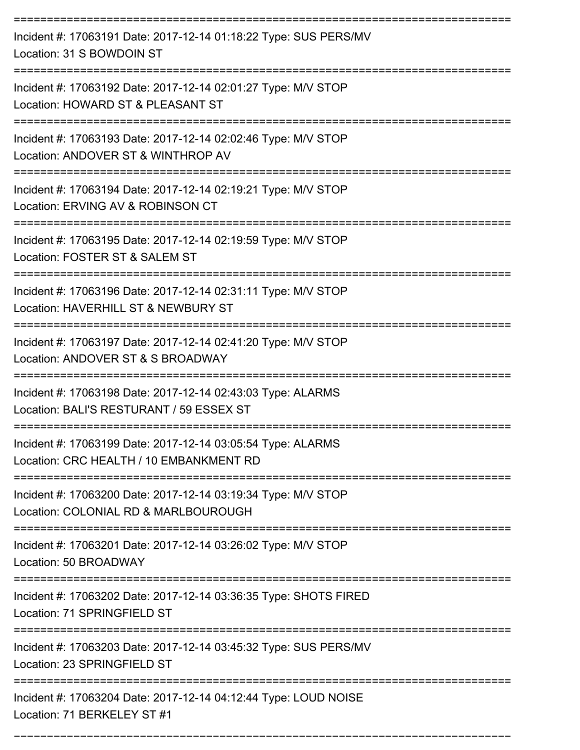| Incident #: 17063191 Date: 2017-12-14 01:18:22 Type: SUS PERS/MV<br>Location: 31 S BOWDOIN ST                            |
|--------------------------------------------------------------------------------------------------------------------------|
| Incident #: 17063192 Date: 2017-12-14 02:01:27 Type: M/V STOP<br>Location: HOWARD ST & PLEASANT ST                       |
| Incident #: 17063193 Date: 2017-12-14 02:02:46 Type: M/V STOP<br>Location: ANDOVER ST & WINTHROP AV                      |
| Incident #: 17063194 Date: 2017-12-14 02:19:21 Type: M/V STOP<br>Location: ERVING AV & ROBINSON CT                       |
| Incident #: 17063195 Date: 2017-12-14 02:19:59 Type: M/V STOP<br>Location: FOSTER ST & SALEM ST                          |
| Incident #: 17063196 Date: 2017-12-14 02:31:11 Type: M/V STOP<br>Location: HAVERHILL ST & NEWBURY ST                     |
| Incident #: 17063197 Date: 2017-12-14 02:41:20 Type: M/V STOP<br>Location: ANDOVER ST & S BROADWAY                       |
| Incident #: 17063198 Date: 2017-12-14 02:43:03 Type: ALARMS<br>Location: BALI'S RESTURANT / 59 ESSEX ST                  |
| Incident #: 17063199 Date: 2017-12-14 03:05:54 Type: ALARMS<br>Location: CRC HEALTH / 10 EMBANKMENT RD                   |
| Incident #: 17063200 Date: 2017-12-14 03:19:34 Type: M/V STOP<br>Location: COLONIAL RD & MARLBOUROUGH                    |
| ==============================<br>Incident #: 17063201 Date: 2017-12-14 03:26:02 Type: M/V STOP<br>Location: 50 BROADWAY |
| Incident #: 17063202 Date: 2017-12-14 03:36:35 Type: SHOTS FIRED<br>Location: 71 SPRINGFIELD ST                          |
| Incident #: 17063203 Date: 2017-12-14 03:45:32 Type: SUS PERS/MV<br>Location: 23 SPRINGFIELD ST                          |
| Incident #: 17063204 Date: 2017-12-14 04:12:44 Type: LOUD NOISE<br>Location: 71 BERKELEY ST #1                           |

===========================================================================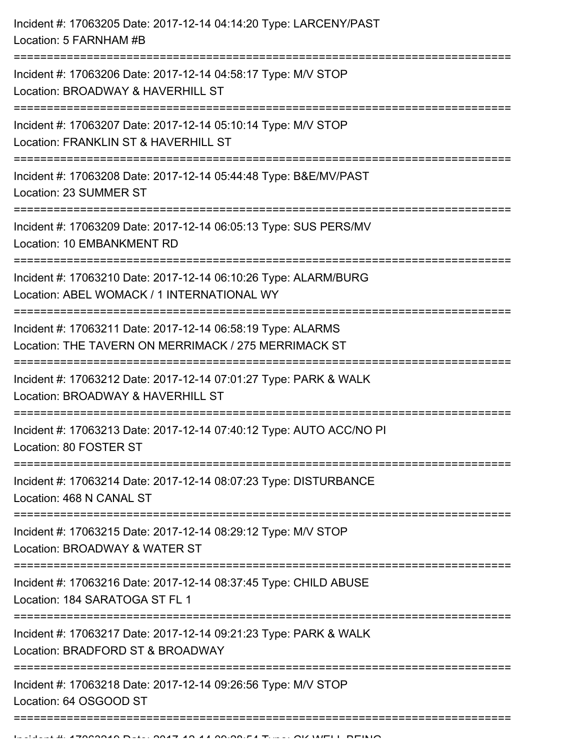| Location: 5 FARNHAM #B                                                                                                                         |
|------------------------------------------------------------------------------------------------------------------------------------------------|
| Incident #: 17063206 Date: 2017-12-14 04:58:17 Type: M/V STOP<br>Location: BROADWAY & HAVERHILL ST<br>===================================      |
| Incident #: 17063207 Date: 2017-12-14 05:10:14 Type: M/V STOP<br>Location: FRANKLIN ST & HAVERHILL ST                                          |
| Incident #: 17063208 Date: 2017-12-14 05:44:48 Type: B&E/MV/PAST<br>Location: 23 SUMMER ST                                                     |
| Incident #: 17063209 Date: 2017-12-14 06:05:13 Type: SUS PERS/MV<br>Location: 10 EMBANKMENT RD                                                 |
| Incident #: 17063210 Date: 2017-12-14 06:10:26 Type: ALARM/BURG<br>Location: ABEL WOMACK / 1 INTERNATIONAL WY<br>============================= |
| Incident #: 17063211 Date: 2017-12-14 06:58:19 Type: ALARMS<br>Location: THE TAVERN ON MERRIMACK / 275 MERRIMACK ST                            |
| Incident #: 17063212 Date: 2017-12-14 07:01:27 Type: PARK & WALK<br>Location: BROADWAY & HAVERHILL ST                                          |
| Incident #: 17063213 Date: 2017-12-14 07:40:12 Type: AUTO ACC/NO PI<br>Location: 80 FOSTER ST                                                  |
| Incident #: 17063214 Date: 2017-12-14 08:07:23 Type: DISTURBANCE<br>Location: 468 N CANAL ST                                                   |
| Incident #: 17063215 Date: 2017-12-14 08:29:12 Type: M/V STOP<br>Location: BROADWAY & WATER ST                                                 |
| Incident #: 17063216 Date: 2017-12-14 08:37:45 Type: CHILD ABUSE<br>Location: 184 SARATOGA ST FL 1                                             |
| Incident #: 17063217 Date: 2017-12-14 09:21:23 Type: PARK & WALK<br>Location: BRADFORD ST & BROADWAY                                           |
| .---------------------------<br>Incident #: 17063218 Date: 2017-12-14 09:26:56 Type: M/V STOP<br>Location: 64 OSGOOD ST                        |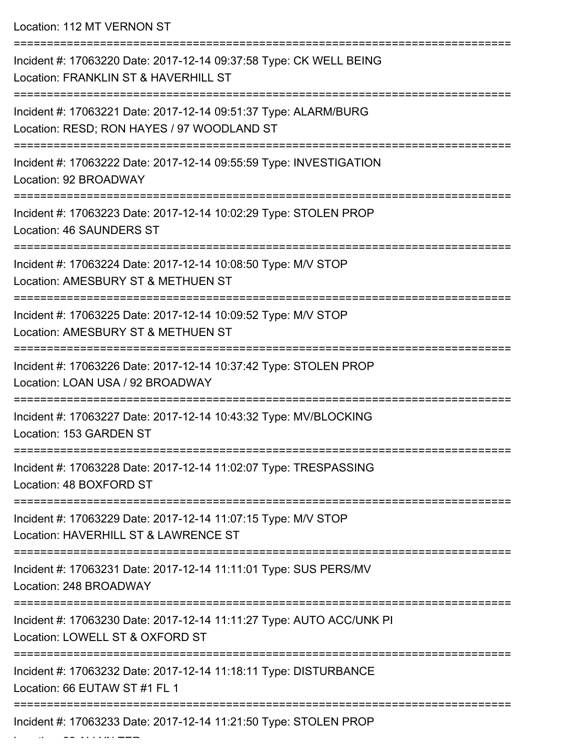Location: 112 MT VERNON ST

| Incident #: 17063220 Date: 2017-12-14 09:37:58 Type: CK WELL BEING<br>Location: FRANKLIN ST & HAVERHILL ST    |
|---------------------------------------------------------------------------------------------------------------|
| Incident #: 17063221 Date: 2017-12-14 09:51:37 Type: ALARM/BURG<br>Location: RESD; RON HAYES / 97 WOODLAND ST |
| Incident #: 17063222 Date: 2017-12-14 09:55:59 Type: INVESTIGATION<br>Location: 92 BROADWAY                   |
| Incident #: 17063223 Date: 2017-12-14 10:02:29 Type: STOLEN PROP<br>Location: 46 SAUNDERS ST                  |
| Incident #: 17063224 Date: 2017-12-14 10:08:50 Type: M/V STOP<br>Location: AMESBURY ST & METHUEN ST           |
| Incident #: 17063225 Date: 2017-12-14 10:09:52 Type: M/V STOP<br>Location: AMESBURY ST & METHUEN ST           |
| Incident #: 17063226 Date: 2017-12-14 10:37:42 Type: STOLEN PROP<br>Location: LOAN USA / 92 BROADWAY          |
| Incident #: 17063227 Date: 2017-12-14 10:43:32 Type: MV/BLOCKING<br>Location: 153 GARDEN ST                   |
| Incident #: 17063228 Date: 2017-12-14 11:02:07 Type: TRESPASSING<br>Location: 48 BOXFORD ST                   |
| Incident #: 17063229 Date: 2017-12-14 11:07:15 Type: M/V STOP<br>Location: HAVERHILL ST & LAWRENCE ST         |
| Incident #: 17063231 Date: 2017-12-14 11:11:01 Type: SUS PERS/MV<br>Location: 248 BROADWAY                    |
| Incident #: 17063230 Date: 2017-12-14 11:11:27 Type: AUTO ACC/UNK PI<br>Location: LOWELL ST & OXFORD ST       |
| Incident #: 17063232 Date: 2017-12-14 11:18:11 Type: DISTURBANCE<br>Location: 66 EUTAW ST #1 FL 1             |
| Incident #: 17063233 Date: 2017-12-14 11:21:50 Type: STOLEN PROP                                              |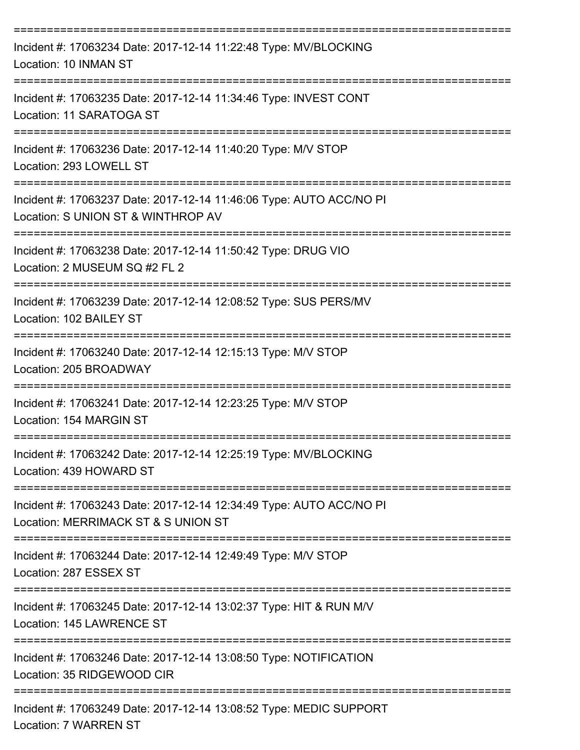| Incident #: 17063234 Date: 2017-12-14 11:22:48 Type: MV/BLOCKING<br>Location: 10 INMAN ST                                                                                         |
|-----------------------------------------------------------------------------------------------------------------------------------------------------------------------------------|
| Incident #: 17063235 Date: 2017-12-14 11:34:46 Type: INVEST CONT<br>Location: 11 SARATOGA ST                                                                                      |
| Incident #: 17063236 Date: 2017-12-14 11:40:20 Type: M/V STOP<br>Location: 293 LOWELL ST                                                                                          |
| Incident #: 17063237 Date: 2017-12-14 11:46:06 Type: AUTO ACC/NO PI<br>Location: S UNION ST & WINTHROP AV                                                                         |
| Incident #: 17063238 Date: 2017-12-14 11:50:42 Type: DRUG VIO<br>Location: 2 MUSEUM SQ #2 FL 2                                                                                    |
| Incident #: 17063239 Date: 2017-12-14 12:08:52 Type: SUS PERS/MV<br>Location: 102 BAILEY ST                                                                                       |
| Incident #: 17063240 Date: 2017-12-14 12:15:13 Type: M/V STOP<br>Location: 205 BROADWAY                                                                                           |
| Incident #: 17063241 Date: 2017-12-14 12:23:25 Type: M/V STOP<br>Location: 154 MARGIN ST                                                                                          |
| Incident #: 17063242 Date: 2017-12-14 12:25:19 Type: MV/BLOCKING<br>Location: 439 HOWARD ST                                                                                       |
| --------------------------------------<br>=========================<br>Incident #: 17063243 Date: 2017-12-14 12:34:49 Type: AUTO ACC/NO PI<br>Location: MERRIMACK ST & S UNION ST |
| Incident #: 17063244 Date: 2017-12-14 12:49:49 Type: M/V STOP<br>Location: 287 ESSEX ST                                                                                           |
| ============================<br>Incident #: 17063245 Date: 2017-12-14 13:02:37 Type: HIT & RUN M/V<br>Location: 145 LAWRENCE ST                                                   |
| Incident #: 17063246 Date: 2017-12-14 13:08:50 Type: NOTIFICATION<br>Location: 35 RIDGEWOOD CIR                                                                                   |
| Incident #: 17063249 Date: 2017-12-14 13:08:52 Type: MEDIC SUPPORT<br>Location: 7 WARREN ST                                                                                       |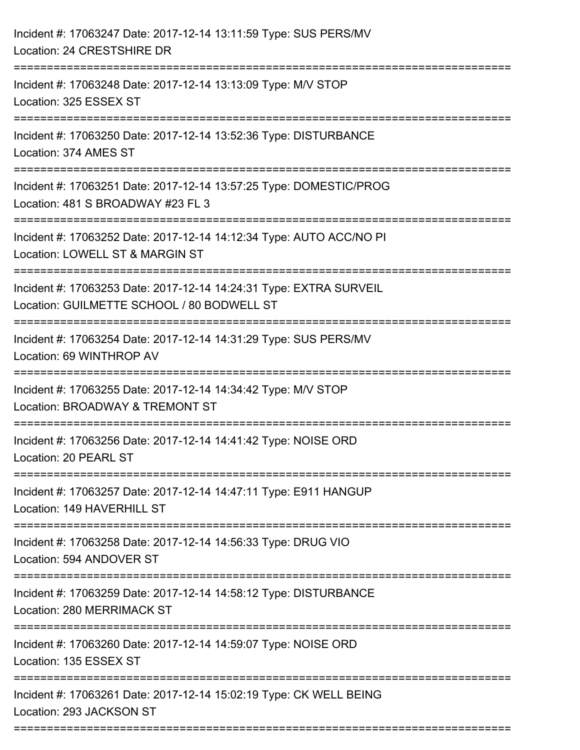| Incident #: 17063247 Date: 2017-12-14 13:11:59 Type: SUS PERS/MV<br>Location: 24 CRESTSHIRE DR                                                 |
|------------------------------------------------------------------------------------------------------------------------------------------------|
| Incident #: 17063248 Date: 2017-12-14 13:13:09 Type: M/V STOP<br>Location: 325 ESSEX ST                                                        |
| Incident #: 17063250 Date: 2017-12-14 13:52:36 Type: DISTURBANCE<br>Location: 374 AMES ST                                                      |
| Incident #: 17063251 Date: 2017-12-14 13:57:25 Type: DOMESTIC/PROG<br>Location: 481 S BROADWAY #23 FL 3                                        |
| Incident #: 17063252 Date: 2017-12-14 14:12:34 Type: AUTO ACC/NO PI<br>Location: LOWELL ST & MARGIN ST                                         |
| Incident #: 17063253 Date: 2017-12-14 14:24:31 Type: EXTRA SURVEIL<br>Location: GUILMETTE SCHOOL / 80 BODWELL ST                               |
| Incident #: 17063254 Date: 2017-12-14 14:31:29 Type: SUS PERS/MV<br>Location: 69 WINTHROP AV                                                   |
| Incident #: 17063255 Date: 2017-12-14 14:34:42 Type: M/V STOP<br>Location: BROADWAY & TREMONT ST                                               |
| Incident #: 17063256 Date: 2017-12-14 14:41:42 Type: NOISE ORD<br>Location: 20 PEARL ST                                                        |
| Incident #: 17063257 Date: 2017-12-14 14:47:11 Type: E911 HANGUP<br>Location: 149 HAVERHILL ST                                                 |
| Incident #: 17063258 Date: 2017-12-14 14:56:33 Type: DRUG VIO<br>Location: 594 ANDOVER ST                                                      |
| Incident #: 17063259 Date: 2017-12-14 14:58:12 Type: DISTURBANCE<br>Location: 280 MERRIMACK ST<br>--------------------<br>____________________ |
| Incident #: 17063260 Date: 2017-12-14 14:59:07 Type: NOISE ORD<br>Location: 135 ESSEX ST                                                       |
| Incident #: 17063261 Date: 2017-12-14 15:02:19 Type: CK WELL BEING<br>Location: 293 JACKSON ST                                                 |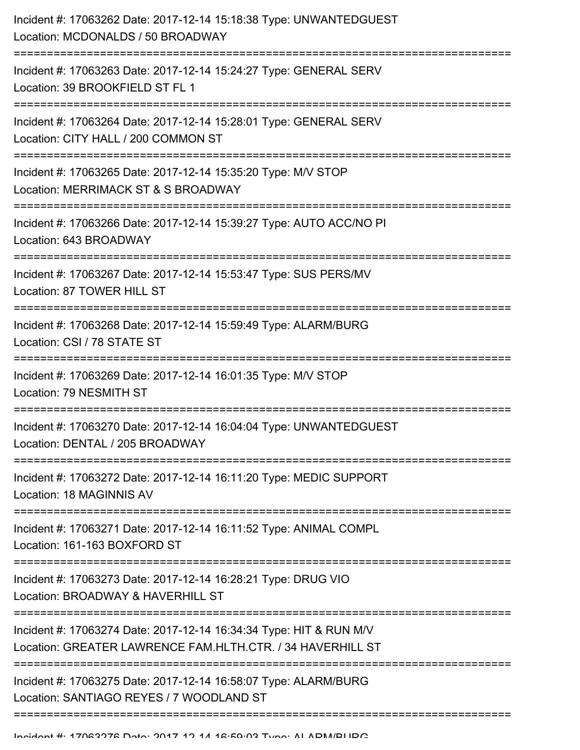| Incident #: 17063262 Date: 2017-12-14 15:18:38 Type: UNWANTEDGUEST<br>Location: MCDONALDS / 50 BROADWAY                          |
|----------------------------------------------------------------------------------------------------------------------------------|
| Incident #: 17063263 Date: 2017-12-14 15:24:27 Type: GENERAL SERV<br>Location: 39 BROOKFIELD ST FL 1                             |
| Incident #: 17063264 Date: 2017-12-14 15:28:01 Type: GENERAL SERV<br>Location: CITY HALL / 200 COMMON ST                         |
| Incident #: 17063265 Date: 2017-12-14 15:35:20 Type: M/V STOP<br>Location: MERRIMACK ST & S BROADWAY                             |
| Incident #: 17063266 Date: 2017-12-14 15:39:27 Type: AUTO ACC/NO PI<br>Location: 643 BROADWAY                                    |
| Incident #: 17063267 Date: 2017-12-14 15:53:47 Type: SUS PERS/MV<br>Location: 87 TOWER HILL ST                                   |
| Incident #: 17063268 Date: 2017-12-14 15:59:49 Type: ALARM/BURG<br>Location: CSI / 78 STATE ST                                   |
| Incident #: 17063269 Date: 2017-12-14 16:01:35 Type: M/V STOP<br>Location: 79 NESMITH ST                                         |
| Incident #: 17063270 Date: 2017-12-14 16:04:04 Type: UNWANTEDGUEST<br>Location: DENTAL / 205 BROADWAY                            |
| Incident #: 17063272 Date: 2017-12-14 16:11:20 Type: MEDIC SUPPORT<br>Location: 18 MAGINNIS AV                                   |
| Incident #: 17063271 Date: 2017-12-14 16:11:52 Type: ANIMAL COMPL<br>Location: 161-163 BOXFORD ST                                |
| Incident #: 17063273 Date: 2017-12-14 16:28:21 Type: DRUG VIO<br>Location: BROADWAY & HAVERHILL ST                               |
| Incident #: 17063274 Date: 2017-12-14 16:34:34 Type: HIT & RUN M/V<br>Location: GREATER LAWRENCE FAM.HLTH.CTR. / 34 HAVERHILL ST |
| Incident #: 17063275 Date: 2017-12-14 16:58:07 Type: ALARM/BURG<br>Location: SANTIAGO REYES / 7 WOODLAND ST                      |
|                                                                                                                                  |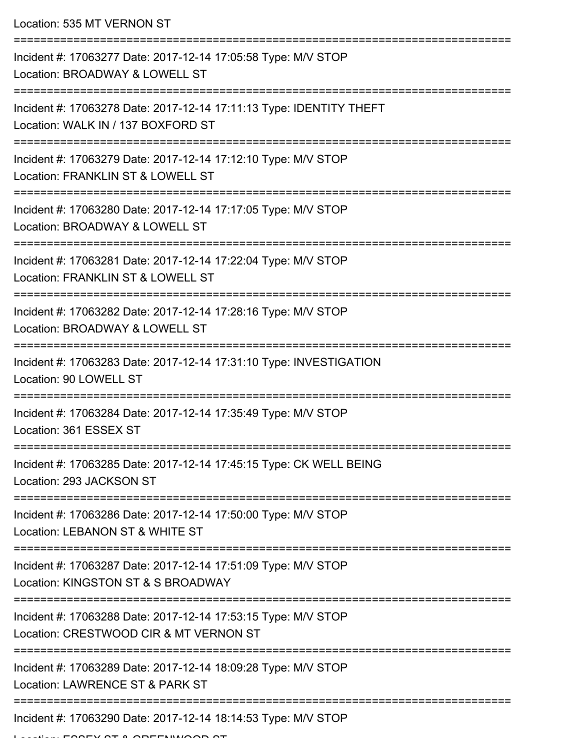Location: 535 MT VERNON ST

| Incident #: 17063277 Date: 2017-12-14 17:05:58 Type: M/V STOP<br>Location: BROADWAY & LOWELL ST           |
|-----------------------------------------------------------------------------------------------------------|
| Incident #: 17063278 Date: 2017-12-14 17:11:13 Type: IDENTITY THEFT<br>Location: WALK IN / 137 BOXFORD ST |
| Incident #: 17063279 Date: 2017-12-14 17:12:10 Type: M/V STOP<br>Location: FRANKLIN ST & LOWELL ST        |
| Incident #: 17063280 Date: 2017-12-14 17:17:05 Type: M/V STOP<br>Location: BROADWAY & LOWELL ST           |
| Incident #: 17063281 Date: 2017-12-14 17:22:04 Type: M/V STOP<br>Location: FRANKLIN ST & LOWELL ST        |
| Incident #: 17063282 Date: 2017-12-14 17:28:16 Type: M/V STOP<br>Location: BROADWAY & LOWELL ST           |
| Incident #: 17063283 Date: 2017-12-14 17:31:10 Type: INVESTIGATION<br>Location: 90 LOWELL ST              |
| Incident #: 17063284 Date: 2017-12-14 17:35:49 Type: M/V STOP<br>Location: 361 ESSEX ST                   |
| Incident #: 17063285 Date: 2017-12-14 17:45:15 Type: CK WELL BEING<br>Location: 293 JACKSON ST            |
| Incident #: 17063286 Date: 2017-12-14 17:50:00 Type: M/V STOP<br>Location: LEBANON ST & WHITE ST          |
| Incident #: 17063287 Date: 2017-12-14 17:51:09 Type: M/V STOP<br>Location: KINGSTON ST & S BROADWAY       |
| Incident #: 17063288 Date: 2017-12-14 17:53:15 Type: M/V STOP<br>Location: CRESTWOOD CIR & MT VERNON ST   |
| Incident #: 17063289 Date: 2017-12-14 18:09:28 Type: M/V STOP<br>Location: LAWRENCE ST & PARK ST          |
| ==================================<br>Incident #: 17063290 Date: 2017-12-14 18:14:53 Type: M/V STOP       |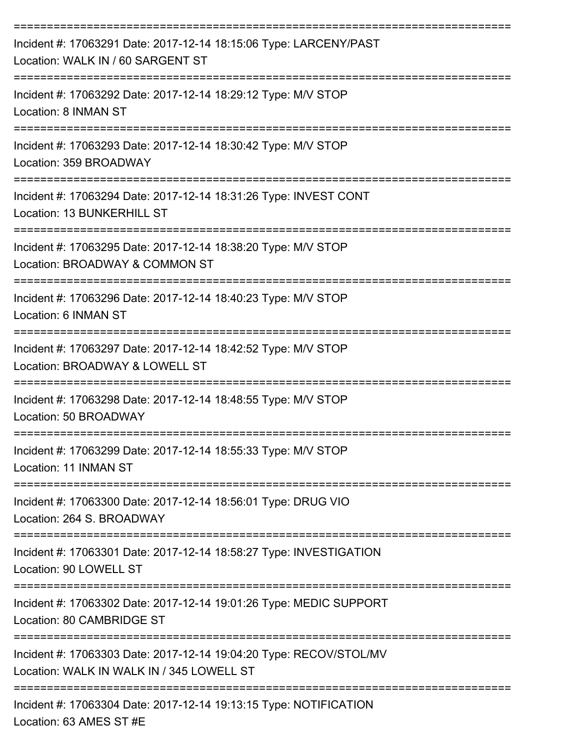| Incident #: 17063291 Date: 2017-12-14 18:15:06 Type: LARCENY/PAST<br>Location: WALK IN / 60 SARGENT ST                       |
|------------------------------------------------------------------------------------------------------------------------------|
| Incident #: 17063292 Date: 2017-12-14 18:29:12 Type: M/V STOP<br>Location: 8 INMAN ST                                        |
| Incident #: 17063293 Date: 2017-12-14 18:30:42 Type: M/V STOP<br>Location: 359 BROADWAY                                      |
| Incident #: 17063294 Date: 2017-12-14 18:31:26 Type: INVEST CONT<br>Location: 13 BUNKERHILL ST                               |
| Incident #: 17063295 Date: 2017-12-14 18:38:20 Type: M/V STOP<br>Location: BROADWAY & COMMON ST                              |
| Incident #: 17063296 Date: 2017-12-14 18:40:23 Type: M/V STOP<br>Location: 6 INMAN ST                                        |
| Incident #: 17063297 Date: 2017-12-14 18:42:52 Type: M/V STOP<br>Location: BROADWAY & LOWELL ST                              |
| Incident #: 17063298 Date: 2017-12-14 18:48:55 Type: M/V STOP<br>Location: 50 BROADWAY                                       |
| Incident #: 17063299 Date: 2017-12-14 18:55:33 Type: M/V STOP<br>Location: 11 INMAN ST                                       |
| Incident #: 17063300 Date: 2017-12-14 18:56:01 Type: DRUG VIO<br>Location: 264 S. BROADWAY                                   |
| Incident #: 17063301 Date: 2017-12-14 18:58:27 Type: INVESTIGATION<br>Location: 90 LOWELL ST                                 |
| -------------------------<br>Incident #: 17063302 Date: 2017-12-14 19:01:26 Type: MEDIC SUPPORT<br>Location: 80 CAMBRIDGE ST |
| Incident #: 17063303 Date: 2017-12-14 19:04:20 Type: RECOV/STOL/MV<br>Location: WALK IN WALK IN / 345 LOWELL ST              |
| Incident #: 17063304 Date: 2017-12-14 19:13:15 Type: NOTIFICATION<br>Location: 63 AMES ST #E                                 |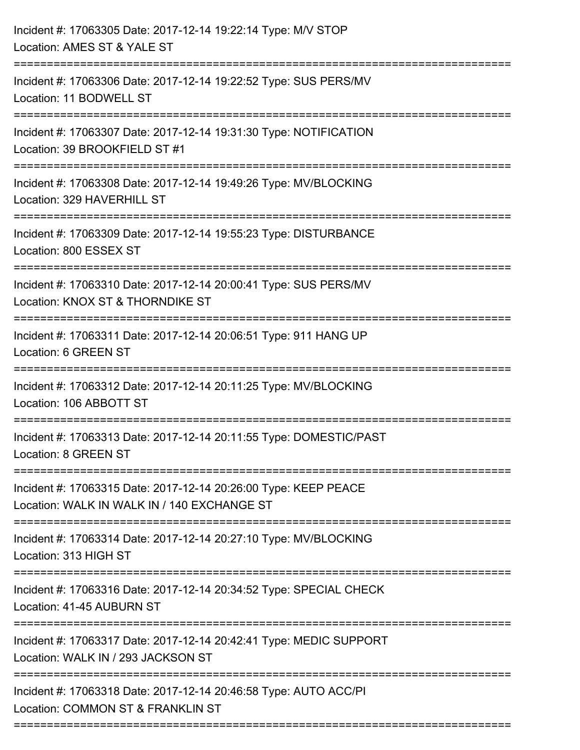| Incident #: 17063305 Date: 2017-12-14 19:22:14 Type: M/V STOP<br>Location: AMES ST & YALE ST                                    |
|---------------------------------------------------------------------------------------------------------------------------------|
| Incident #: 17063306 Date: 2017-12-14 19:22:52 Type: SUS PERS/MV<br>Location: 11 BODWELL ST                                     |
| Incident #: 17063307 Date: 2017-12-14 19:31:30 Type: NOTIFICATION<br>Location: 39 BROOKFIELD ST #1                              |
| Incident #: 17063308 Date: 2017-12-14 19:49:26 Type: MV/BLOCKING<br>Location: 329 HAVERHILL ST                                  |
| Incident #: 17063309 Date: 2017-12-14 19:55:23 Type: DISTURBANCE<br>Location: 800 ESSEX ST                                      |
| Incident #: 17063310 Date: 2017-12-14 20:00:41 Type: SUS PERS/MV<br>Location: KNOX ST & THORNDIKE ST<br>----------------------- |
| Incident #: 17063311 Date: 2017-12-14 20:06:51 Type: 911 HANG UP<br>Location: 6 GREEN ST                                        |
| Incident #: 17063312 Date: 2017-12-14 20:11:25 Type: MV/BLOCKING<br>Location: 106 ABBOTT ST                                     |
| Incident #: 17063313 Date: 2017-12-14 20:11:55 Type: DOMESTIC/PAST<br>Location: 8 GREEN ST                                      |
| Incident #: 17063315 Date: 2017-12-14 20:26:00 Type: KEEP PEACE<br>Location: WALK IN WALK IN / 140 EXCHANGE ST                  |
| Incident #: 17063314 Date: 2017-12-14 20:27:10 Type: MV/BLOCKING<br>Location: 313 HIGH ST                                       |
| Incident #: 17063316 Date: 2017-12-14 20:34:52 Type: SPECIAL CHECK<br>Location: 41-45 AUBURN ST                                 |
| Incident #: 17063317 Date: 2017-12-14 20:42:41 Type: MEDIC SUPPORT<br>Location: WALK IN / 293 JACKSON ST                        |
| Incident #: 17063318 Date: 2017-12-14 20:46:58 Type: AUTO ACC/PI<br>Location: COMMON ST & FRANKLIN ST                           |
|                                                                                                                                 |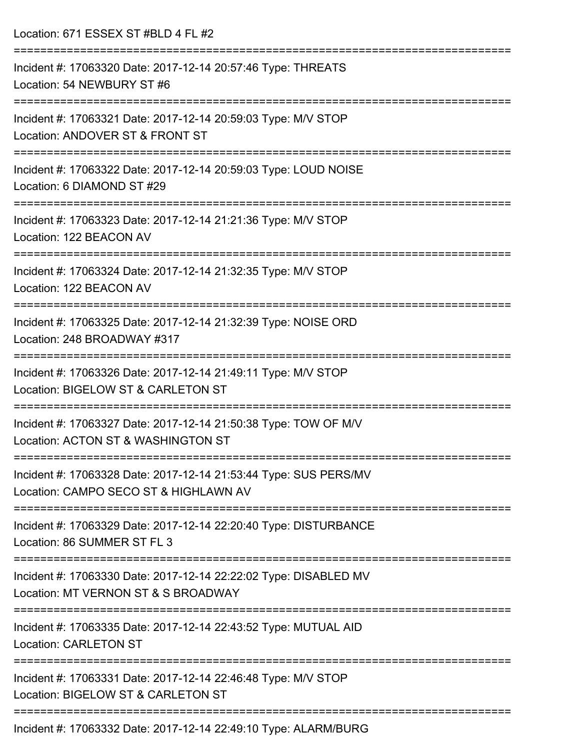Location: 671 ESSEX ST #BLD 4 FL #2 =========================================================================== Incident #: 17063320 Date: 2017-12-14 20:57:46 Type: THREATS Location: 54 NEWBURY ST #6 =========================================================================== Incident #: 17063321 Date: 2017-12-14 20:59:03 Type: M/V STOP Location: ANDOVER ST & FRONT ST =========================================================================== Incident #: 17063322 Date: 2017-12-14 20:59:03 Type: LOUD NOISE Location: 6 DIAMOND ST #29 =========================================================================== Incident #: 17063323 Date: 2017-12-14 21:21:36 Type: M/V STOP Location: 122 BEACON AV =========================================================================== Incident #: 17063324 Date: 2017-12-14 21:32:35 Type: M/V STOP Location: 122 BEACON AV =========================================================================== Incident #: 17063325 Date: 2017-12-14 21:32:39 Type: NOISE ORD Location: 248 BROADWAY #317 =========================================================================== Incident #: 17063326 Date: 2017-12-14 21:49:11 Type: M/V STOP Location: BIGELOW ST & CARLETON ST =========================================================================== Incident #: 17063327 Date: 2017-12-14 21:50:38 Type: TOW OF M/V Location: ACTON ST & WASHINGTON ST =========================================================================== Incident #: 17063328 Date: 2017-12-14 21:53:44 Type: SUS PERS/MV Location: CAMPO SECO ST & HIGHLAWN AV =========================================================================== Incident #: 17063329 Date: 2017-12-14 22:20:40 Type: DISTURBANCE Location: 86 SUMMER ST FL 3 =========================================================================== Incident #: 17063330 Date: 2017-12-14 22:22:02 Type: DISABLED MV Location: MT VERNON ST & S BROADWAY =========================================================================== Incident #: 17063335 Date: 2017-12-14 22:43:52 Type: MUTUAL AID Location: CARLETON ST =========================================================================== Incident #: 17063331 Date: 2017-12-14 22:46:48 Type: M/V STOP Location: BIGELOW ST & CARLETON ST =========================================================================== Incident #: 17063332 Date: 2017-12-14 22:49:10 Type: ALARM/BURG